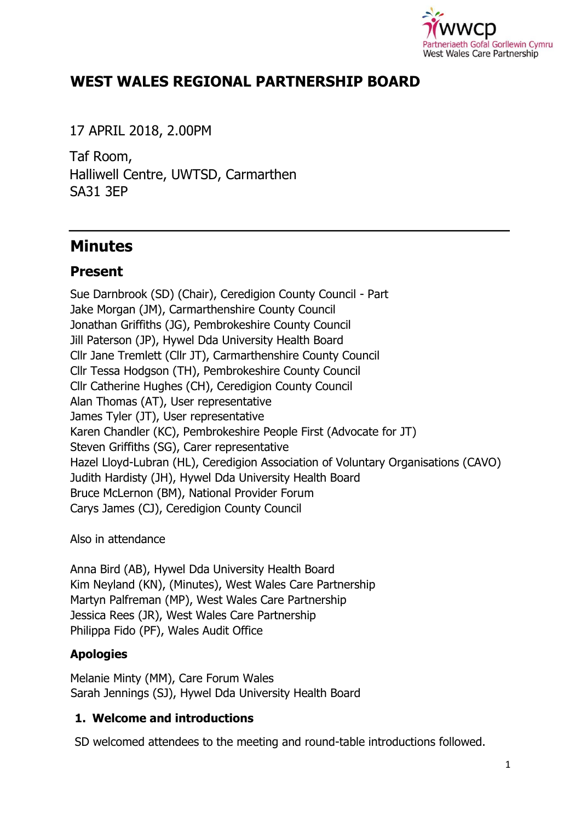

# **WEST WALES REGIONAL PARTNERSHIP BOARD**

17 APRIL 2018, 2.00PM

Taf Room, Halliwell Centre, UWTSD, Carmarthen SA31 3EP

# **Minutes**

# **Present**

Sue Darnbrook (SD) (Chair), Ceredigion County Council - Part Jake Morgan (JM), Carmarthenshire County Council Jonathan Griffiths (JG), Pembrokeshire County Council Jill Paterson (JP), Hywel Dda University Health Board Cllr Jane Tremlett (Cllr JT), Carmarthenshire County Council Cllr Tessa Hodgson (TH), Pembrokeshire County Council Cllr Catherine Hughes (CH), Ceredigion County Council Alan Thomas (AT), User representative James Tyler (JT), User representative Karen Chandler (KC), Pembrokeshire People First (Advocate for JT) Steven Griffiths (SG), Carer representative Hazel Lloyd-Lubran (HL), Ceredigion Association of Voluntary Organisations (CAVO) Judith Hardisty (JH), Hywel Dda University Health Board Bruce McLernon (BM), National Provider Forum Carys James (CJ), Ceredigion County Council

Also in attendance

Anna Bird (AB), Hywel Dda University Health Board Kim Neyland (KN), (Minutes), West Wales Care Partnership Martyn Palfreman (MP), West Wales Care Partnership Jessica Rees (JR), West Wales Care Partnership Philippa Fido (PF), Wales Audit Office

## **Apologies**

Melanie Minty (MM), Care Forum Wales Sarah Jennings (SJ), Hywel Dda University Health Board

## **1. Welcome and introductions**

SD welcomed attendees to the meeting and round-table introductions followed.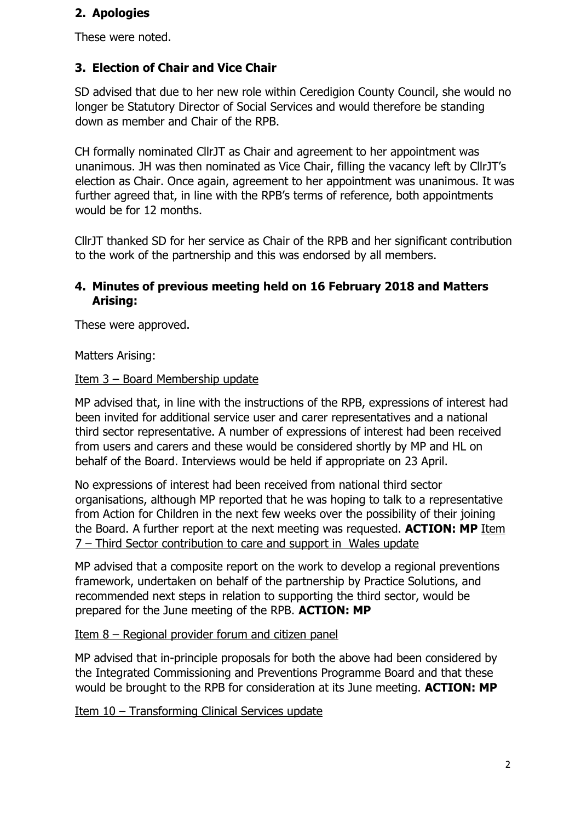### **2. Apologies**

These were noted.

# **3. Election of Chair and Vice Chair**

SD advised that due to her new role within Ceredigion County Council, she would no longer be Statutory Director of Social Services and would therefore be standing down as member and Chair of the RPB.

CH formally nominated CllrJT as Chair and agreement to her appointment was unanimous. JH was then nominated as Vice Chair, filling the vacancy left by CllrJT's election as Chair. Once again, agreement to her appointment was unanimous. It was further agreed that, in line with the RPB's terms of reference, both appointments would be for 12 months.

CllrJT thanked SD for her service as Chair of the RPB and her significant contribution to the work of the partnership and this was endorsed by all members.

### **4. Minutes of previous meeting held on 16 February 2018 and Matters Arising:**

These were approved.

Matters Arising:

#### Item 3 – Board Membership update

MP advised that, in line with the instructions of the RPB, expressions of interest had been invited for additional service user and carer representatives and a national third sector representative. A number of expressions of interest had been received from users and carers and these would be considered shortly by MP and HL on behalf of the Board. Interviews would be held if appropriate on 23 April.

No expressions of interest had been received from national third sector organisations, although MP reported that he was hoping to talk to a representative from Action for Children in the next few weeks over the possibility of their joining the Board. A further report at the next meeting was requested. **ACTION: MP** Item 7 – Third Sector contribution to care and support in Wales update

MP advised that a composite report on the work to develop a regional preventions framework, undertaken on behalf of the partnership by Practice Solutions, and recommended next steps in relation to supporting the third sector, would be prepared for the June meeting of the RPB. **ACTION: MP**

Item 8 – Regional provider forum and citizen panel

MP advised that in-principle proposals for both the above had been considered by the Integrated Commissioning and Preventions Programme Board and that these would be brought to the RPB for consideration at its June meeting. **ACTION: MP**

Item 10 – Transforming Clinical Services update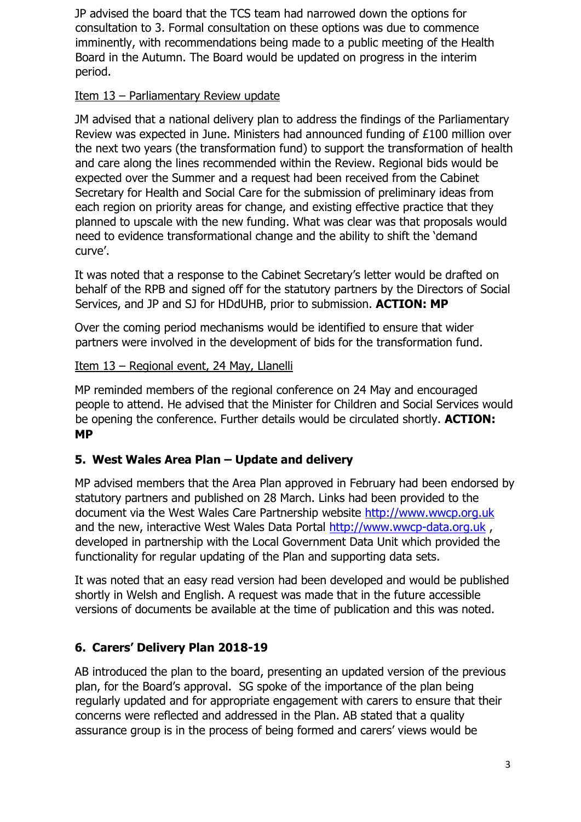JP advised the board that the TCS team had narrowed down the options for consultation to 3. Formal consultation on these options was due to commence imminently, with recommendations being made to a public meeting of the Health Board in the Autumn. The Board would be updated on progress in the interim period.

#### Item 13 – Parliamentary Review update

JM advised that a national delivery plan to address the findings of the Parliamentary Review was expected in June. Ministers had announced funding of £100 million over the next two years (the transformation fund) to support the transformation of health and care along the lines recommended within the Review. Regional bids would be expected over the Summer and a request had been received from the Cabinet Secretary for Health and Social Care for the submission of preliminary ideas from each region on priority areas for change, and existing effective practice that they planned to upscale with the new funding. What was clear was that proposals would need to evidence transformational change and the ability to shift the 'demand curve'.

It was noted that a response to the Cabinet Secretary's letter would be drafted on behalf of the RPB and signed off for the statutory partners by the Directors of Social Services, and JP and SJ for HDdUHB, prior to submission. **ACTION: MP**

Over the coming period mechanisms would be identified to ensure that wider partners were involved in the development of bids for the transformation fund.

#### Item 13 – Regional event, 24 May, Llanelli

MP reminded members of the regional conference on 24 May and encouraged people to attend. He advised that the Minister for Children and Social Services would be opening the conference. Further details would be circulated shortly. **ACTION: MP**

## **5. West Wales Area Plan – Update and delivery**

MP advised members that the Area Plan approved in February had been endorsed by statutory partners and published on 28 March. Links had been provided to the document via the West Wales Care Partnership website [http://www.wwcp.org.uk](http://www.wwcp.org.uk/) and the new, interactive West Wales Data Portal [http://www.wwcp-data.org.uk](http://www.wwcp-data.org.uk/), developed in partnership with the Local Government Data Unit which provided the functionality for regular updating of the Plan and supporting data sets.

It was noted that an easy read version had been developed and would be published shortly in Welsh and English. A request was made that in the future accessible versions of documents be available at the time of publication and this was noted.

# **6. Carers' Delivery Plan 2018-19**

AB introduced the plan to the board, presenting an updated version of the previous plan, for the Board's approval. SG spoke of the importance of the plan being regularly updated and for appropriate engagement with carers to ensure that their concerns were reflected and addressed in the Plan. AB stated that a quality assurance group is in the process of being formed and carers' views would be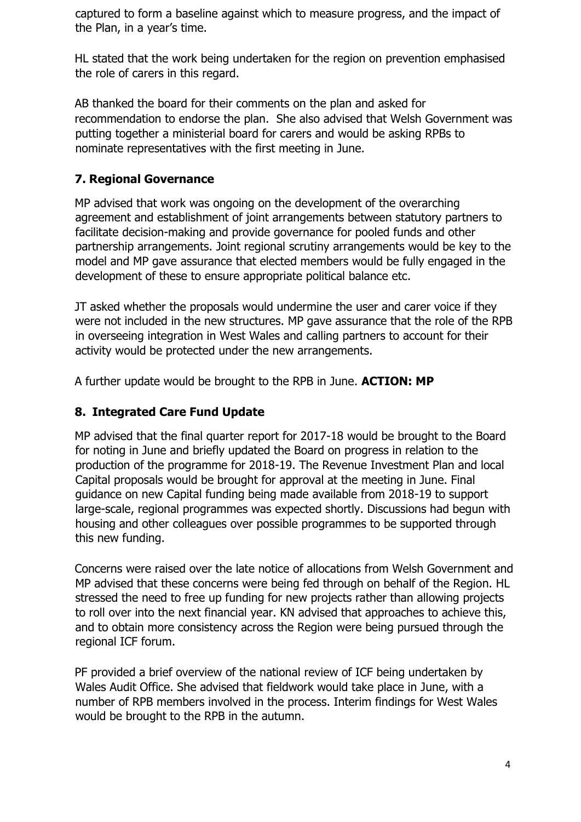captured to form a baseline against which to measure progress, and the impact of the Plan, in a year's time.

HL stated that the work being undertaken for the region on prevention emphasised the role of carers in this regard.

AB thanked the board for their comments on the plan and asked for recommendation to endorse the plan. She also advised that Welsh Government was putting together a ministerial board for carers and would be asking RPBs to nominate representatives with the first meeting in June.

# **7. Regional Governance**

MP advised that work was ongoing on the development of the overarching agreement and establishment of joint arrangements between statutory partners to facilitate decision-making and provide governance for pooled funds and other partnership arrangements. Joint regional scrutiny arrangements would be key to the model and MP gave assurance that elected members would be fully engaged in the development of these to ensure appropriate political balance etc.

JT asked whether the proposals would undermine the user and carer voice if they were not included in the new structures. MP gave assurance that the role of the RPB in overseeing integration in West Wales and calling partners to account for their activity would be protected under the new arrangements.

A further update would be brought to the RPB in June. **ACTION: MP**

## **8. Integrated Care Fund Update**

MP advised that the final quarter report for 2017-18 would be brought to the Board for noting in June and briefly updated the Board on progress in relation to the production of the programme for 2018-19. The Revenue Investment Plan and local Capital proposals would be brought for approval at the meeting in June. Final guidance on new Capital funding being made available from 2018-19 to support large-scale, regional programmes was expected shortly. Discussions had begun with housing and other colleagues over possible programmes to be supported through this new funding.

Concerns were raised over the late notice of allocations from Welsh Government and MP advised that these concerns were being fed through on behalf of the Region. HL stressed the need to free up funding for new projects rather than allowing projects to roll over into the next financial year. KN advised that approaches to achieve this, and to obtain more consistency across the Region were being pursued through the regional ICF forum.

PF provided a brief overview of the national review of ICF being undertaken by Wales Audit Office. She advised that fieldwork would take place in June, with a number of RPB members involved in the process. Interim findings for West Wales would be brought to the RPB in the autumn.